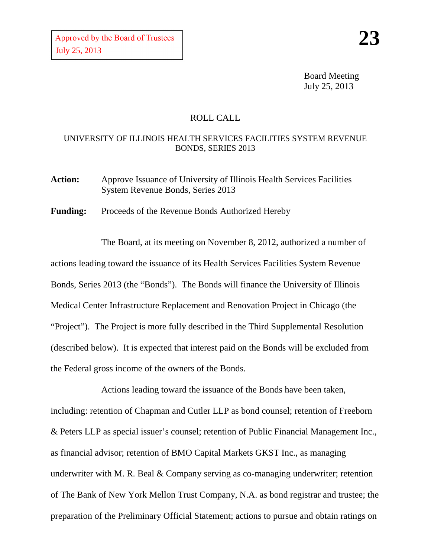Board Meeting July 25, 2013

## ROLL CALL

## UNIVERSITY OF ILLINOIS HEALTH SERVICES FACILITIES SYSTEM REVENUE BONDS, SERIES 2013

Action: Approve Issuance of University of Illinois Health Services Facilities System Revenue Bonds, Series 2013

**Funding:** Proceeds of the Revenue Bonds Authorized Hereby

The Board, at its meeting on November 8, 2012, authorized a number of actions leading toward the issuance of its Health Services Facilities System Revenue Bonds, Series 2013 (the "Bonds"). The Bonds will finance the University of Illinois Medical Center Infrastructure Replacement and Renovation Project in Chicago (the "Project"). The Project is more fully described in the Third Supplemental Resolution (described below). It is expected that interest paid on the Bonds will be excluded from the Federal gross income of the owners of the Bonds.

Actions leading toward the issuance of the Bonds have been taken, including: retention of Chapman and Cutler LLP as bond counsel; retention of Freeborn & Peters LLP as special issuer's counsel; retention of Public Financial Management Inc., as financial advisor; retention of BMO Capital Markets GKST Inc., as managing underwriter with M. R. Beal & Company serving as co-managing underwriter; retention of The Bank of New York Mellon Trust Company, N.A. as bond registrar and trustee; the preparation of the Preliminary Official Statement; actions to pursue and obtain ratings on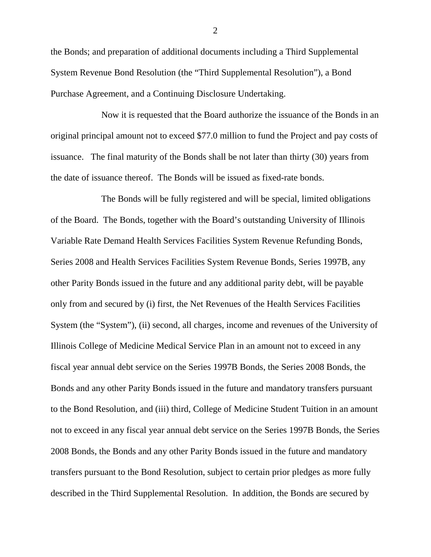the Bonds; and preparation of additional documents including a Third Supplemental System Revenue Bond Resolution (the "Third Supplemental Resolution"), a Bond Purchase Agreement, and a Continuing Disclosure Undertaking.

Now it is requested that the Board authorize the issuance of the Bonds in an original principal amount not to exceed \$77.0 million to fund the Project and pay costs of issuance. The final maturity of the Bonds shall be not later than thirty (30) years from the date of issuance thereof. The Bonds will be issued as fixed-rate bonds.

The Bonds will be fully registered and will be special, limited obligations of the Board. The Bonds, together with the Board's outstanding University of Illinois Variable Rate Demand Health Services Facilities System Revenue Refunding Bonds, Series 2008 and Health Services Facilities System Revenue Bonds, Series 1997B, any other Parity Bonds issued in the future and any additional parity debt, will be payable only from and secured by (i) first, the Net Revenues of the Health Services Facilities System (the "System"), (ii) second, all charges, income and revenues of the University of Illinois College of Medicine Medical Service Plan in an amount not to exceed in any fiscal year annual debt service on the Series 1997B Bonds, the Series 2008 Bonds, the Bonds and any other Parity Bonds issued in the future and mandatory transfers pursuant to the Bond Resolution, and (iii) third, College of Medicine Student Tuition in an amount not to exceed in any fiscal year annual debt service on the Series 1997B Bonds, the Series 2008 Bonds, the Bonds and any other Parity Bonds issued in the future and mandatory transfers pursuant to the Bond Resolution, subject to certain prior pledges as more fully described in the Third Supplemental Resolution. In addition, the Bonds are secured by

2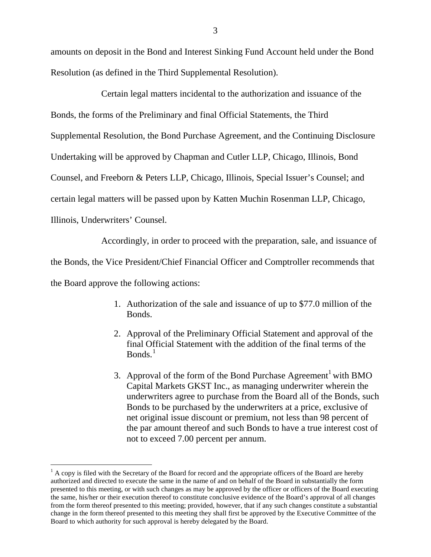amounts on deposit in the Bond and Interest Sinking Fund Account held under the Bond Resolution (as defined in the Third Supplemental Resolution).

Certain legal matters incidental to the authorization and issuance of the Bonds, the forms of the Preliminary and final Official Statements, the Third Supplemental Resolution, the Bond Purchase Agreement, and the Continuing Disclosure Undertaking will be approved by Chapman and Cutler LLP, Chicago, Illinois, Bond Counsel, and Freeborn & Peters LLP, Chicago, Illinois, Special Issuer's Counsel; and certain legal matters will be passed upon by Katten Muchin Rosenman LLP, Chicago, Illinois, Underwriters' Counsel.

Accordingly, in order to proceed with the preparation, sale, and issuance of the Bonds, the Vice President/Chief Financial Officer and Comptroller recommends that the Board approve the following actions:

- 1. Authorization of the sale and issuance of up to \$77.0 million of the Bonds.
- 2. Approval of the Preliminary Official Statement and approval of the final Official Statement with the addition of the final terms of the  $Bonds.<sup>1</sup>$  $Bonds.<sup>1</sup>$  $Bonds.<sup>1</sup>$
- 3. Approval of the form of the Bond Purchase  $A$ greement<sup>1</sup> with BMO Capital Markets GKST Inc., as managing underwriter wherein the underwriters agree to purchase from the Board all of the Bonds, such Bonds to be purchased by the underwriters at a price, exclusive of net original issue discount or premium, not less than 98 percent of the par amount thereof and such Bonds to have a true interest cost of not to exceed 7.00 percent per annum.

<span id="page-2-0"></span> $<sup>1</sup>$  A copy is filed with the Secretary of the Board for record and the appropriate officers of the Board are hereby</sup> authorized and directed to execute the same in the name of and on behalf of the Board in substantially the form presented to this meeting, or with such changes as may be approved by the officer or officers of the Board executing the same, his/her or their execution thereof to constitute conclusive evidence of the Board's approval of all changes from the form thereof presented to this meeting; provided, however, that if any such changes constitute a substantial change in the form thereof presented to this meeting they shall first be approved by the Executive Committee of the Board to which authority for such approval is hereby delegated by the Board.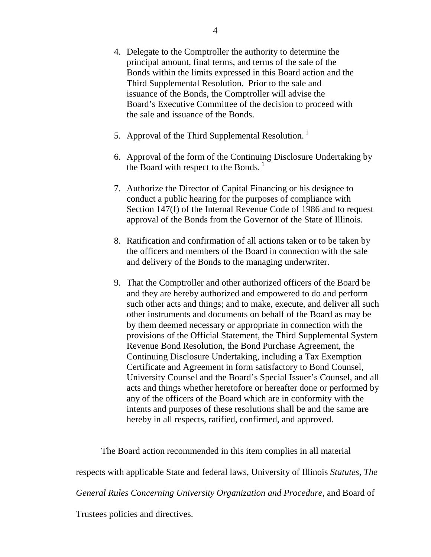- 4. Delegate to the Comptroller the authority to determine the principal amount, final terms, and terms of the sale of the Bonds within the limits expressed in this Board action and the Third Supplemental Resolution. Prior to the sale and issuance of the Bonds, the Comptroller will advise the Board's Executive Committee of the decision to proceed with the sale and issuance of the Bonds.
- 5. Approval of the Third Supplemental Resolution.<sup>1</sup>
- 6. Approval of the form of the Continuing Disclosure Undertaking by the Board with respect to the Bonds.  $\frac{1}{1}$
- 7. Authorize the Director of Capital Financing or his designee to conduct a public hearing for the purposes of compliance with Section 147(f) of the Internal Revenue Code of 1986 and to request approval of the Bonds from the Governor of the State of Illinois.
- 8. Ratification and confirmation of all actions taken or to be taken by the officers and members of the Board in connection with the sale and delivery of the Bonds to the managing underwriter.
- 9. That the Comptroller and other authorized officers of the Board be and they are hereby authorized and empowered to do and perform such other acts and things; and to make, execute, and deliver all such other instruments and documents on behalf of the Board as may be by them deemed necessary or appropriate in connection with the provisions of the Official Statement, the Third Supplemental System Revenue Bond Resolution, the Bond Purchase Agreement, the Continuing Disclosure Undertaking, including a Tax Exemption Certificate and Agreement in form satisfactory to Bond Counsel, University Counsel and the Board's Special Issuer's Counsel, and all acts and things whether heretofore or hereafter done or performed by any of the officers of the Board which are in conformity with the intents and purposes of these resolutions shall be and the same are hereby in all respects, ratified, confirmed, and approved.

The Board action recommended in this item complies in all material

respects with applicable State and federal laws, University of Illinois *Statutes, The* 

*General Rules Concerning University Organization and Procedure,* and Board of

Trustees policies and directives.